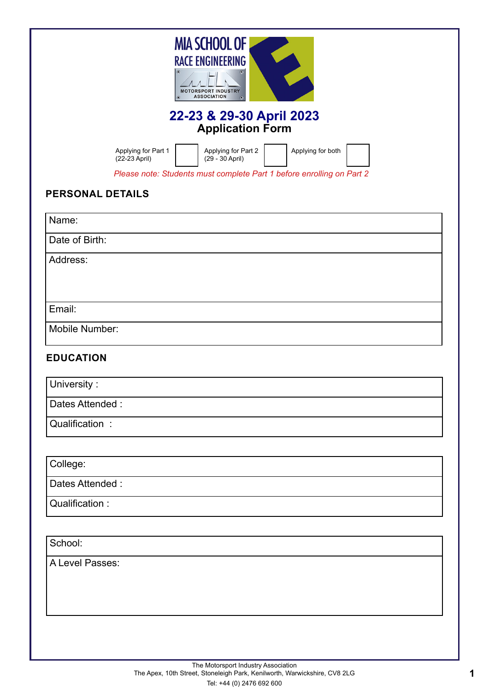| <b>MIA SCHOOL OF</b><br><b>RACE ENGINEERING</b><br><b>MOTORSPORT INDUSTRY</b><br><b>ASSOCIATION</b>                                                                          |
|------------------------------------------------------------------------------------------------------------------------------------------------------------------------------|
| 22-23 & 29-30 April 2023<br><b>Application Form</b>                                                                                                                          |
| Applying for Part 1<br>Applying for Part 2<br>Applying for both<br>(22-23 April)<br>(29 - 30 April)<br>Please note: Students must complete Part 1 before enrolling on Part 2 |
| <b>PERSONAL DETAILS</b>                                                                                                                                                      |
| Name:                                                                                                                                                                        |
| Date of Birth:                                                                                                                                                               |
| Address:                                                                                                                                                                     |
| Email:                                                                                                                                                                       |
| Mobile Number:                                                                                                                                                               |
| <b>EDUCATION</b>                                                                                                                                                             |
| University:                                                                                                                                                                  |
| Dates Attended:                                                                                                                                                              |
| Qualification:                                                                                                                                                               |

College:

Dates Attended :

Qualification :

School:

A Level Passes: